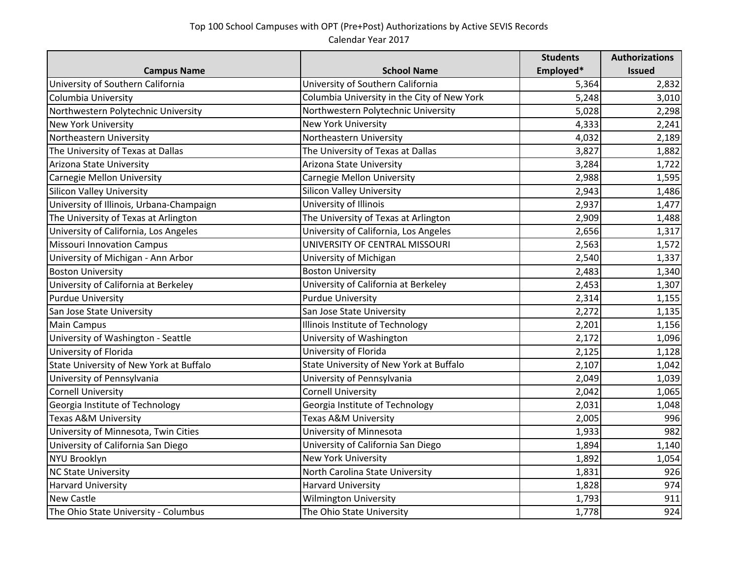## Top 100 School Campuses with OPT (Pre+Post) Authorizations by Active SEVIS Records Calendar Year 2017

|                                          |                                             | <b>Students</b> | <b>Authorizations</b> |
|------------------------------------------|---------------------------------------------|-----------------|-----------------------|
| <b>Campus Name</b>                       | <b>School Name</b>                          | Employed*       | <b>Issued</b>         |
| University of Southern California        | University of Southern California           | 5,364           | 2,832                 |
| Columbia University                      | Columbia University in the City of New York | 5,248           | 3,010                 |
| Northwestern Polytechnic University      | Northwestern Polytechnic University         | 5,028           | 2,298                 |
| <b>New York University</b>               | New York University                         | 4,333           | 2,241                 |
| Northeastern University                  | Northeastern University                     | 4,032           | 2,189                 |
| The University of Texas at Dallas        | The University of Texas at Dallas           | 3,827           | 1,882                 |
| Arizona State University                 | Arizona State University                    | 3,284           | 1,722                 |
| Carnegie Mellon University               | Carnegie Mellon University                  | 2,988           | 1,595                 |
| <b>Silicon Valley University</b>         | <b>Silicon Valley University</b>            | 2,943           | 1,486                 |
| University of Illinois, Urbana-Champaign | University of Illinois                      | 2,937           | 1,477                 |
| The University of Texas at Arlington     | The University of Texas at Arlington        | 2,909           | 1,488                 |
| University of California, Los Angeles    | University of California, Los Angeles       | 2,656           | 1,317                 |
| <b>Missouri Innovation Campus</b>        | UNIVERSITY OF CENTRAL MISSOURI              | 2,563           | 1,572                 |
| University of Michigan - Ann Arbor       | University of Michigan                      | 2,540           | 1,337                 |
| <b>Boston University</b>                 | <b>Boston University</b>                    | 2,483           | 1,340                 |
| University of California at Berkeley     | University of California at Berkeley        | 2,453           | 1,307                 |
| <b>Purdue University</b>                 | <b>Purdue University</b>                    | 2,314           | 1,155                 |
| San Jose State University                | San Jose State University                   | 2,272           | 1,135                 |
| <b>Main Campus</b>                       | Illinois Institute of Technology            | 2,201           | 1,156                 |
| University of Washington - Seattle       | University of Washington                    | 2,172           | 1,096                 |
| University of Florida                    | University of Florida                       | 2,125           | 1,128                 |
| State University of New York at Buffalo  | State University of New York at Buffalo     | 2,107           | 1,042                 |
| University of Pennsylvania               | University of Pennsylvania                  | 2,049           | 1,039                 |
| <b>Cornell University</b>                | <b>Cornell University</b>                   | 2,042           | 1,065                 |
| Georgia Institute of Technology          | Georgia Institute of Technology             | 2,031           | 1,048                 |
| <b>Texas A&amp;M University</b>          | Texas A&M University                        | 2,005           | 996                   |
| University of Minnesota, Twin Cities     | University of Minnesota                     | 1,933           | 982                   |
| University of California San Diego       | University of California San Diego          | 1,894           | 1,140                 |
| NYU Brooklyn                             | New York University                         | 1,892           | 1,054                 |
| <b>NC State University</b>               | North Carolina State University             | 1,831           | 926                   |
| <b>Harvard University</b>                | <b>Harvard University</b>                   | 1,828           | 974                   |
| <b>New Castle</b>                        | <b>Wilmington University</b>                | 1,793           | 911                   |
| The Ohio State University - Columbus     | The Ohio State University                   | 1,778           | 924                   |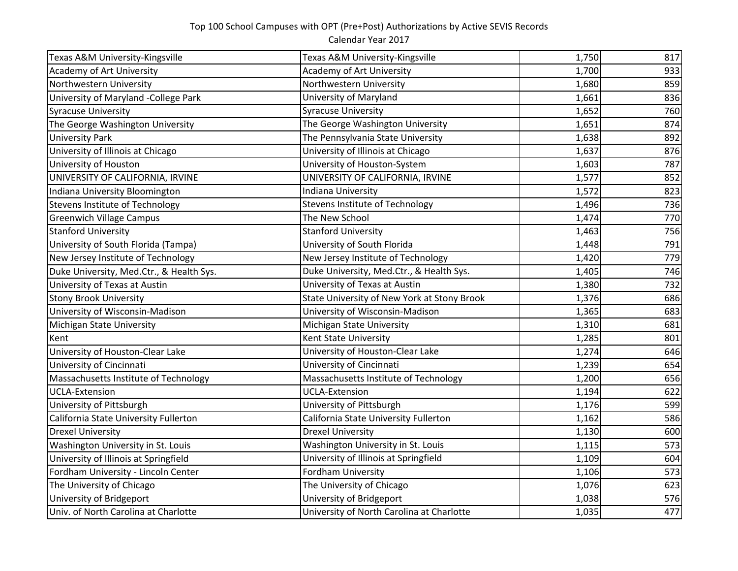## Top 100 School Campuses with OPT (Pre+Post) Authorizations by Active SEVIS Records

Calendar Year 2017

| Texas A&M University-Kingsville          | Texas A&M University-Kingsville             | 1,750 | 817 |
|------------------------------------------|---------------------------------------------|-------|-----|
| Academy of Art University                | <b>Academy of Art University</b>            | 1,700 | 933 |
| Northwestern University                  | Northwestern University                     | 1,680 | 859 |
| University of Maryland -College Park     | University of Maryland                      | 1,661 | 836 |
| <b>Syracuse University</b>               | <b>Syracuse University</b>                  | 1,652 | 760 |
| The George Washington University         | The George Washington University            | 1,651 | 874 |
| <b>University Park</b>                   | The Pennsylvania State University           | 1,638 | 892 |
| University of Illinois at Chicago        | University of Illinois at Chicago           | 1,637 | 876 |
| University of Houston                    | University of Houston-System                | 1,603 | 787 |
| UNIVERSITY OF CALIFORNIA, IRVINE         | UNIVERSITY OF CALIFORNIA, IRVINE            | 1,577 | 852 |
| Indiana University Bloomington           | <b>Indiana University</b>                   | 1,572 | 823 |
| <b>Stevens Institute of Technology</b>   | <b>Stevens Institute of Technology</b>      | 1,496 | 736 |
| <b>Greenwich Village Campus</b>          | The New School                              | 1,474 | 770 |
| <b>Stanford University</b>               | <b>Stanford University</b>                  | 1,463 | 756 |
| University of South Florida (Tampa)      | University of South Florida                 | 1,448 | 791 |
| New Jersey Institute of Technology       | New Jersey Institute of Technology          | 1,420 | 779 |
| Duke University, Med.Ctr., & Health Sys. | Duke University, Med.Ctr., & Health Sys.    | 1,405 | 746 |
| University of Texas at Austin            | University of Texas at Austin               | 1,380 | 732 |
| <b>Stony Brook University</b>            | State University of New York at Stony Brook | 1,376 | 686 |
| University of Wisconsin-Madison          | University of Wisconsin-Madison             | 1,365 | 683 |
| Michigan State University                | Michigan State University                   | 1,310 | 681 |
| Kent                                     | Kent State University                       | 1,285 | 801 |
| University of Houston-Clear Lake         | University of Houston-Clear Lake            | 1,274 | 646 |
| University of Cincinnati                 | University of Cincinnati                    | 1,239 | 654 |
| Massachusetts Institute of Technology    | Massachusetts Institute of Technology       | 1,200 | 656 |
| <b>UCLA-Extension</b>                    | <b>UCLA-Extension</b>                       | 1,194 | 622 |
| University of Pittsburgh                 | University of Pittsburgh                    | 1,176 | 599 |
| California State University Fullerton    | California State University Fullerton       | 1,162 | 586 |
| <b>Drexel University</b>                 | <b>Drexel University</b>                    | 1,130 | 600 |
| Washington University in St. Louis       | Washington University in St. Louis          | 1,115 | 573 |
| University of Illinois at Springfield    | University of Illinois at Springfield       | 1,109 | 604 |
| Fordham University - Lincoln Center      | Fordham University                          | 1,106 | 573 |
| The University of Chicago                | The University of Chicago                   | 1,076 | 623 |
| University of Bridgeport                 | University of Bridgeport                    | 1,038 | 576 |
| Univ. of North Carolina at Charlotte     | University of North Carolina at Charlotte   | 1,035 | 477 |